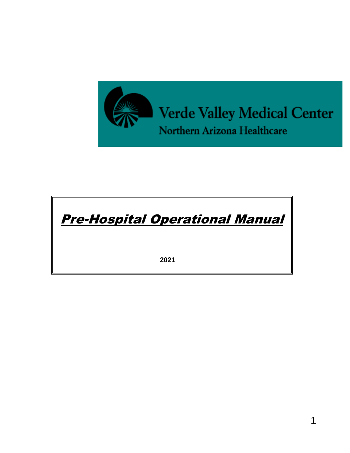

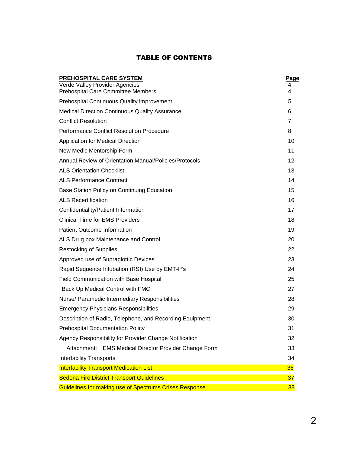# **TABLE OF CONTENTS**

| PREHOSPITAL CARE SYSTEM                                                     | Page   |
|-----------------------------------------------------------------------------|--------|
| Verde Valley Provider Agencies<br><b>Prehospital Care Committee Members</b> | 4<br>4 |
| Prehospital Continuous Quality improvement                                  | 5      |
| <b>Medical Direction Continuous Quality Assurance</b>                       | 6      |
| <b>Conflict Resolution</b>                                                  | 7      |
| <b>Performance Conflict Resolution Procedure</b>                            | 8      |
| <b>Application for Medical Direction</b>                                    | 10     |
| New Medic Mentorship Form                                                   | 11     |
| Annual Review of Orientation Manual/Policies/Protocols                      | 12     |
| <b>ALS Orientation Checklist</b>                                            | 13     |
| <b>ALS Performance Contract</b>                                             | 14     |
| Base Station Policy on Continuing Education                                 | 15     |
| <b>ALS Recertification</b>                                                  | 16     |
| Confidentiality/Patient Information                                         | 17     |
| <b>Clinical Time for EMS Providers</b>                                      | 18     |
| <b>Patient Outcome Information</b>                                          | 19     |
| ALS Drug box Maintenance and Control                                        | 20     |
| <b>Restocking of Supplies</b>                                               | 22     |
| Approved use of Supraglottic Devices                                        | 23     |
| Rapid Sequence Intubation (RSI) Use by EMT-P's                              | 24     |
| Field Communication with Base Hospital                                      | 25     |
| Back Up Medical Control with FMC                                            | 27     |
| Nurse/ Paramedic Intermediary Responsibilities                              | 28     |
| <b>Emergency Physicians Responsibilities</b>                                | 29     |
| Description of Radio, Telephone, and Recording Equipment                    | 30     |
| <b>Prehospital Documentation Policy</b>                                     | 31     |
| Agency Responsibility for Provider Change Notification                      | 32     |
| Attachment: EMS Medical Director Provider Change Form                       | 33     |
| <b>Interfacility Transports</b>                                             | 34     |
| <b>Interfacility Transport Medication List</b>                              | 36     |
| <b>Sedona Fire District Transport Guidelines</b>                            | 37     |
| Guidelines for making use of Spectrums Crises Response                      | 38     |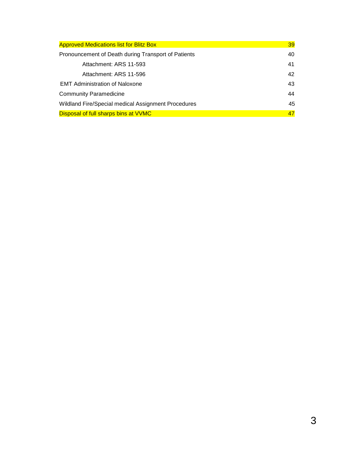<span id="page-2-0"></span>

| <b>Approved Medications list for Blitz Box</b>      | 39 |
|-----------------------------------------------------|----|
| Pronouncement of Death during Transport of Patients | 40 |
| Attachment: ARS 11-593                              | 41 |
| Attachment: ARS 11-596                              | 42 |
| <b>EMT Administration of Naloxone</b>               | 43 |
| <b>Community Paramedicine</b>                       | 44 |
| Wildland Fire/Special medical Assignment Procedures | 45 |
| Disposal of full sharps bins at VVMC                | 47 |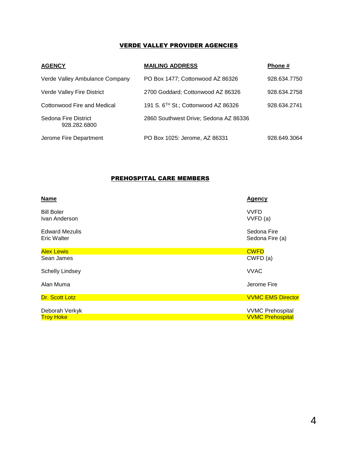# VERDE VALLEY PROVIDER AGENCIES

| <b>AGENCY</b>                        | <b>MAILING ADDRESS</b>                          | Phone #      |
|--------------------------------------|-------------------------------------------------|--------------|
| Verde Valley Ambulance Company       | PO Box 1477; Cottonwood AZ 86326                | 928.634.7750 |
| Verde Valley Fire District           | 2700 Goddard; Cottonwood AZ 86326               | 928.634.2758 |
| Cottonwood Fire and Medical          | 191 S. 6 <sup>TH</sup> St.; Cottonwood AZ 86326 | 928.634.2741 |
| Sedona Fire District<br>928.282.6800 | 2860 Southwest Drive; Sedona AZ 86336           |              |
| Jerome Fire Department               | PO Box 1025: Jerome, AZ 86331                   | 928.649.3064 |

# PREHOSPITAL CARE MEMBERS

| Name                                 | <b>Agency</b>                  |
|--------------------------------------|--------------------------------|
| <b>Bill Boler</b><br>Ivan Anderson   | <b>VVFD</b><br>VVFD (a)        |
| <b>Edward Mezulis</b><br>Eric Walter | Sedona Fire<br>Sedona Fire (a) |
| <b>Alex Lewis</b>                    | <b>CWFD</b>                    |
| Sean James                           | CWFD (a)                       |
| <b>Schelly Lindsey</b>               | <b>VVAC</b>                    |
| Alan Muma                            | Jerome Fire                    |
| Dr. Scott Lotz                       | <b>VVMC EMS Director</b>       |
|                                      |                                |
| Deborah Verkyk                       | <b>VVMC Prehospital</b>        |
| <b>Troy Hoke</b>                     | <b>VVMC Prehospital</b>        |
|                                      |                                |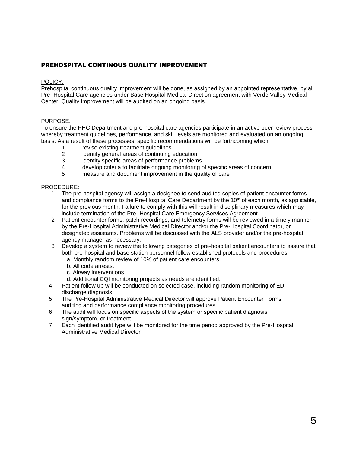## PREHOSPITAL CONTINOUS QUALITY IMPROVEMENT

#### POLICY;

Prehospital continuous quality improvement will be done, as assigned by an appointed representative, by all Pre- Hospital Care agencies under Base Hospital Medical Direction agreement with Verde Valley Medical Center. Quality Improvement will be audited on an ongoing basis.

### PURPOSE:

To ensure the PHC Department and pre-hospital care agencies participate in an active peer review process whereby treatment guidelines, performance, and skill levels are monitored and evaluated on an ongoing basis. As a result of these processes, specific recommendations will be forthcoming which:

- 1 revise existing treatment guidelines<br>2 identify general areas of continuing
- 2 identify general areas of continuing education<br>3 identify specific areas of performance problem
- identify specific areas of performance problems
- 4 develop criteria to facilitate ongoing monitoring of specific areas of concern
- 5 measure and document improvement in the quality of care

- 1 The pre-hospital agency will assign a designee to send audited copies of patient encounter forms and compliance forms to the Pre-Hospital Care Department by the  $10<sup>th</sup>$  of each month, as applicable, for the previous month. Failure to comply with this will result in disciplinary measures which may include termination of the Pre- Hospital Care Emergency Services Agreement.
- 2 Patient encounter forms, patch recordings, and telemetry forms will be reviewed in a timely manner by the Pre-Hospital Administrative Medical Director and/or the Pre-Hospital Coordinator, or designated assistants. Problems will be discussed with the ALS provider and/or the pre-hospital agency manager as necessary.
- 3 Develop a system to review the following categories of pre-hospital patient encounters to assure that both pre-hospital and base station personnel follow established protocols and procedures.
	- a. Monthly random review of 10% of patient care encounters.
	- b. All code arrests.
	- c. Airway interventions
	- d. Additional CQI monitoring projects as needs are identified.
- 4 Patient follow up will be conducted on selected case, including random monitoring of ED discharge diagnosis.
- 5 The Pre-Hospital Administrative Medical Director will approve Patient Encounter Forms auditing and performance compliance monitoring procedures.
- 6 The audit will focus on specific aspects of the system or specific patient diagnosis sign/symptom, or treatment.
- 7 Each identified audit type will be monitored for the time period approved by the Pre-Hospital Administrative Medical Director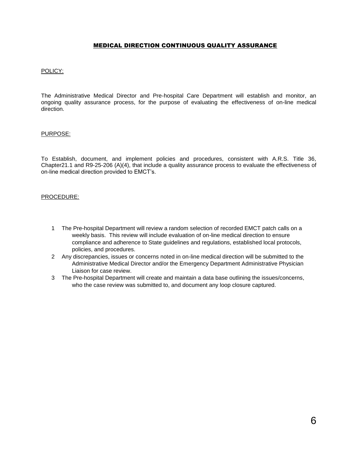## MEDICAL DIRECTION CONTINUOUS QUALITY ASSURANCE

#### POLICY:

The Administrative Medical Director and Pre-hospital Care Department will establish and monitor, an ongoing quality assurance process, for the purpose of evaluating the effectiveness of on-line medical direction.

#### PURPOSE:

To Establish, document, and implement policies and procedures, consistent with A.R.S. Title 36, Chapter21.1 and R9-25-206 (A)(4), that include a quality assurance process to evaluate the effectiveness of on-line medical direction provided to EMCT's.

- 1 The Pre-hospital Department will review a random selection of recorded EMCT patch calls on a weekly basis. This review will include evaluation of on-line medical direction to ensure compliance and adherence to State guidelines and regulations, established local protocols, policies, and procedures.
- 2 Any discrepancies, issues or concerns noted in on-line medical direction will be submitted to the Administrative Medical Director and/or the Emergency Department Administrative Physician Liaison for case review.
- 3 The Pre-hospital Department will create and maintain a data base outlining the issues/concerns, who the case review was submitted to, and document any loop closure captured.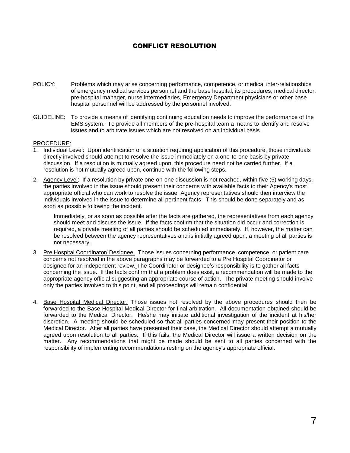# CONFLICT RESOLUTION

- POLICY: Problems which may arise concerning performance, competence, or medical inter-relationships of emergency medical services personnel and the base hospital, its procedures, medical director, pre-hospital manager, nurse intermediaries, Emergency Department physicians or other base hospital personnel will be addressed by the personnel involved.
- GUIDELINE: To provide a means of identifying continuing education needs to improve the performance of the EMS system. To provide all members of the pre-hospital team a means to identify and resolve issues and to arbitrate issues which are not resolved on an individual basis.

#### PROCEDURE:

- 1. Individual Level: Upon identification of a situation requiring application of this procedure, those individuals directly involved should attempt to resolve the issue immediately on a one-to-one basis by private discussion. If a resolution is mutually agreed upon, this procedure need not be carried further. If a resolution is not mutually agreed upon, continue with the following steps.
- 2. Agency Level: If a resolution by private one-on-one discussion is not reached, within five (5) working days, the parties involved in the issue should present their concerns with available facts to their Agency's most appropriate official who can work to resolve the issue. Agency representatives should then interview the individuals involved in the issue to determine all pertinent facts. This should be done separately and as soon as possible following the incident.

Immediately, or as soon as possible after the facts are gathered, the representatives from each agency should meet and discuss the issue. If the facts confirm that the situation did occur and correction is required, a private meeting of all parties should be scheduled immediately. If, however, the matter can be resolved between the agency representatives and is initially agreed upon, a meeting of all parties is not necessary.

- 3. Pre Hospital Coordinator/ Designee: Those issues concerning performance, competence, or patient care concerns not resolved in the above paragraphs may be forwarded to a Pre Hospital Coordinator or designee for an independent review. The Coordinator or designee's responsibility is to gather all facts concerning the issue. If the facts confirm that a problem does exist, a recommendation will be made to the appropriate agency official suggesting an appropriate course of action. The private meeting should involve only the parties involved to this point, and all proceedings will remain confidential.
- 4. Base Hospital Medical Director: Those issues not resolved by the above procedures should then be forwarded to the Base Hospital Medical Director for final arbitration. All documentation obtained should be forwarded to the Medical Director. He/she may initiate additional investigation of the incident at his/her discretion. A meeting should be scheduled so that all parties concerned may present their position to the Medical Director. After all parties have presented their case, the Medical Director should attempt a mutually agreed upon resolution to all parties. If this fails, the Medical Director will issue a written decision on the matter. Any recommendations that might be made should be sent to all parties concerned with the responsibility of implementing recommendations resting on the agency's appropriate official.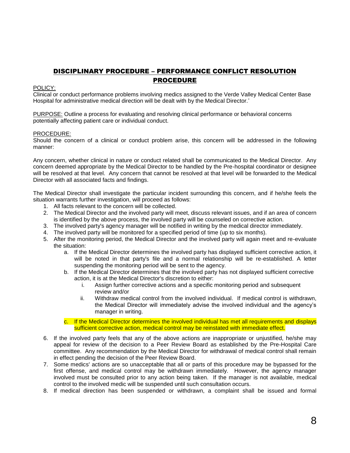# DISCIPLINARY PROCEDURE – PERFORMANCE CONFLICT RESOLUTION PROCEDURE

#### POLICY:

Clinical or conduct performance problems involving medics assigned to the Verde Valley Medical Center Base Hospital for administrative medical direction will be dealt with by the Medical Director.'

PURPOSE: Outline a process for evaluating and resolving clinical performance or behavioral concerns potentially affecting patient care or individual conduct.

### PROCEDURE:

Should the concern of a clinical or conduct problem arise, this concern will be addressed in the following manner:

Any concern, whether clinical in nature or conduct related shall be communicated to the Medical Director. Any concern deemed appropriate by the Medical Director to be handled by the Pre-hospital coordinator or designee will be resolved at that level. Any concern that cannot be resolved at that level will be forwarded to the Medical Director with all associated facts and findings.

The Medical Director shall investigate the particular incident surrounding this concern, and if he/she feels the situation warrants further investigation, will proceed as follows:

- 1. All facts relevant to the concern will be collected.
- 2. The Medical Director and the involved party will meet, discuss relevant issues, and if an area of concern is identified by the above process, the involved party will be counseled on corrective action.
- 3. The involved party's agency manager will be notified in writing by the medical director immediately.
- 4. The involved party will be monitored for a specified period of time (up to six months).
- 5. After the monitoring period, the Medical Director and the involved party will again meet and re-evaluate the situation:
	- a. If the Medical Director determines the involved party has displayed sufficient corrective action, it will be noted in that party's file and a normal relationship will be re-established. A letter suspending the monitoring period will be sent to the agency.
	- b. If the Medical Director determines that the involved party has not displayed sufficient corrective action, it is at the Medical Director's discretion to either:
		- i. Assign further corrective actions and a specific monitoring period and subsequent review and/or
		- ii. Withdraw medical control from the involved individual. If medical control is withdrawn, the Medical Director will immediately advise the involved individual and the agency's manager in writing.
	- c. If the Medical Director determines the involved individual has met all requirements and displays sufficient corrective action, medical control may be reinstated with immediate effect.
- 6. If the involved party feels that any of the above actions are inappropriate or unjustified, he/she may appeal for review of the decision to a Peer Review Board as established by the Pre-Hospital Care committee. Any recommendation by the Medical Director for withdrawal of medical control shall remain in effect pending the decision of the Peer Review Board.
- 7. Some medics' actions are so unacceptable that all or parts of this procedure may be bypassed for the first offense, and medical control may be withdrawn immediately. However, the agency manager involved must be consulted prior to any action being taken. If the manager is not available, medical control to the involved medic will be suspended until such consultation occurs.
- 8. If medical direction has been suspended or withdrawn, a complaint shall be issued and formal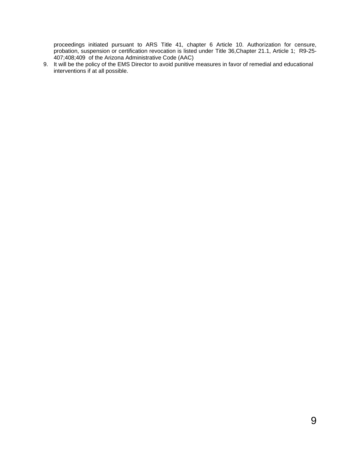proceedings initiated pursuant to ARS Title 41, chapter 6 Article 10. Authorization for censure, probation, suspension or certification revocation is listed under Title 36,Chapter 21.1, Article 1; R9-25- 407;408;409 of the Arizona Administrative Code (AAC)

9. It will be the policy of the EMS Director to avoid punitive measures in favor of remedial and educational interventions if at all possible.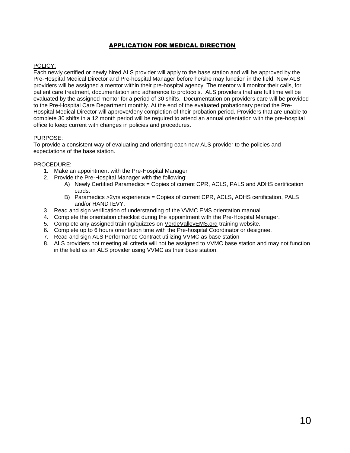## APPLICATION FOR MEDICAL DIRECTION

## <span id="page-9-0"></span>POLICY:

Each newly certified or newly hired ALS provider will apply to the base station and will be approved by the Pre-Hospital Medical Director and Pre-hospital Manager before he/she may function in the field. New ALS providers will be assigned a mentor within their pre-hospital agency. The mentor will monitor their calls, for patient care treatment, documentation and adherence to protocols. ALS providers that are full time will be evaluated by the assigned mentor for a period of 30 shifts. Documentation on providers care will be provided to the Pre-Hospital Care Department monthly. At the end of the evaluated probationary period the Pre-Hospital Medical Director will approve/deny completion of their probation period. Providers that are unable to complete 30 shifts in a 12 month period will be required to attend an annual orientation with the pre-hospital office to keep current with changes in policies and procedures.

## PURPOSE:

To provide a consistent way of evaluating and orienting each new ALS provider to the policies and expectations of the base station.

- 1. Make an appointment with the Pre-Hospital Manager
- 2. Provide the Pre-Hospital Manager with the following:
	- A) Newly Certified Paramedics = Copies of current CPR, ACLS, PALS and ADHS certification cards.
	- B) Paramedics >2yrs experience = Copies of current CPR, ACLS, ADHS certification, PALS and/or HANDTEVY.
- 3. Read and sign verification of understanding of the VVMC EMS orientation manual
- 4. Complete the orientation checklist during the appointment with the Pre-Hospital Manager.
- 5. Complete any assigned training/quizzes on VerdeValleyEMS.org training website.
- 6. Complete up to 6 hours orientation time with the Pre-hospital Coordinator or designee.
- 7. Read and sign ALS Performance Contract utilizing VVMC as base station
- 8. ALS providers not meeting all criteria will not be assigned to VVMC base station and may not function in the field as an ALS provider using VVMC as their base station.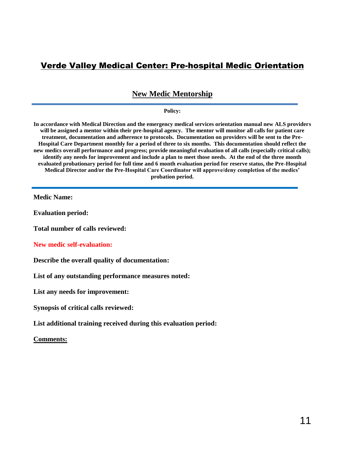# Verde Valley Medical Center: Pre-hospital Medic Orientation

# **New Medic Mentorship**

#### **Policy:**

**In accordance with Medical Direction and the emergency medical services orientation manual new ALS providers will be assigned a mentor within their pre-hospital agency. The mentor will monitor all calls for patient care treatment, documentation and adherence to protocols. Documentation on providers will be sent to the Pre-Hospital Care Department monthly for a period of three to six months. This documentation should reflect the new medics overall performance and progress; provide meaningful evaluation of all calls (especially critical calls); identify any needs for improvement and include a plan to meet those needs. At the end of the three month evaluated probationary period for full time and 6 month evaluation period for reserve status, the Pre-Hospital Medical Director and/or the Pre-Hospital Care Coordinator will approve/deny completion of the medics' probation period.**

**Medic Name:** 

**Evaluation period:** 

**Total number of calls reviewed:** 

**New medic self-evaluation:**

**Describe the overall quality of documentation:**

**List of any outstanding performance measures noted:**

**List any needs for improvement:**

**Synopsis of critical calls reviewed:**

**List additional training received during this evaluation period:**

**Comments:**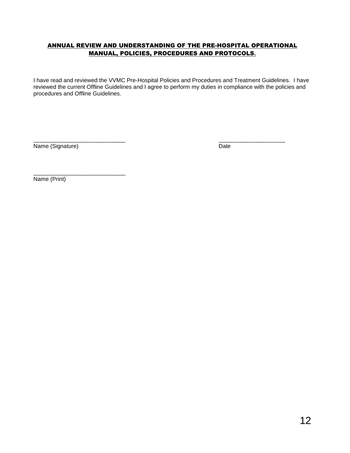# <span id="page-11-0"></span>ANNUAL REVIEW AND UNDERSTANDING OF THE PRE-HOSPITAL OPERATIONAL MANUAL, POLICIES, PROCEDURES AND PROTOCOLS**.**

I have read and reviewed the VVMC Pre-Hospital Policies and Procedures and Treatment Guidelines. I have reviewed the current Offline Guidelines and I agree to perform my duties in compliance with the policies and procedures and Offline Guidelines.

\_\_\_\_\_\_\_\_\_\_\_\_\_\_\_\_\_\_\_\_\_\_\_\_\_\_\_\_\_ \_\_\_\_\_\_\_\_\_\_\_\_\_\_\_\_\_\_\_\_\_ Name (Signature) Date

\_\_\_\_\_\_\_\_\_\_\_\_\_\_\_\_\_\_\_\_\_\_\_\_\_\_\_\_\_

Name (Print)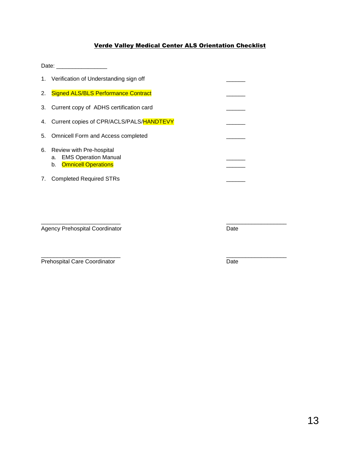# Verde Valley Medical Center ALS Orientation Checklist

<span id="page-12-0"></span>Date: \_\_\_\_\_\_\_\_\_\_\_\_\_\_\_\_

|    | 1. Verification of Understanding sign off                                               |  |
|----|-----------------------------------------------------------------------------------------|--|
| 2. | <b>Signed ALS/BLS Performance Contract</b>                                              |  |
|    | 3. Current copy of ADHS certification card                                              |  |
|    | 4. Current copies of CPR/ACLS/PALS/HANDTEVY                                             |  |
| 5. | <b>Omnicell Form and Access completed</b>                                               |  |
| 6. | Review with Pre-hospital<br>a. EMS Operation Manual<br><b>Omnicell Operations</b><br>b. |  |
| 7. | <b>Completed Required STRs</b>                                                          |  |

\_\_\_\_\_\_\_\_\_\_\_\_\_\_\_\_\_\_\_\_\_\_\_\_\_ \_\_\_\_\_\_\_\_\_\_\_\_\_\_\_\_\_\_\_

Agency Prehospital Coordinator **Date** 

\_\_\_\_\_\_\_\_\_\_\_\_\_\_\_\_\_\_\_\_\_\_\_\_\_ \_\_\_\_\_\_\_\_\_\_\_\_\_\_\_\_\_\_\_ Prehospital Care Coordinator Date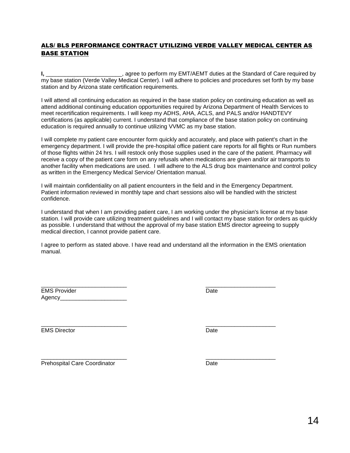# <span id="page-13-0"></span>ALS/ BLS PERFORMANCE CONTRACT UTILIZING VERDE VALLEY MEDICAL CENTER AS BASE STATION

**I,** \_\_\_\_\_\_\_\_\_\_\_\_\_\_\_\_\_\_\_\_\_\_\_\_, agree to perform my EMT/AEMT duties at the Standard of Care required by my base station (Verde Valley Medical Center). I will adhere to policies and procedures set forth by my base station and by Arizona state certification requirements.

I will attend all continuing education as required in the base station policy on continuing education as well as attend additional continuing education opportunities required by Arizona Department of Health Services to meet recertification requirements. I will keep my ADHS, AHA, ACLS, and PALS and/or HANDTEVY certifications (as applicable) current. I understand that compliance of the base station policy on continuing education is required annually to continue utilizing VVMC as my base station.

I will complete my patient care encounter form quickly and accurately, and place with patient's chart in the emergency department. I will provide the pre-hospital office patient care reports for all flights or Run numbers of those flights within 24 hrs. I will restock only those supplies used in the care of the patient. Pharmacy will receive a copy of the patient care form on any refusals when medications are given and/or air transports to another facility when medications are used. I will adhere to the ALS drug box maintenance and control policy as written in the Emergency Medical Service/ Orientation manual.

I will maintain confidentiality on all patient encounters in the field and in the Emergency Department. Patient information reviewed in monthly tape and chart sessions also will be handled with the strictest confidence.

I understand that when I am providing patient care, I am working under the physician's license at my base station. I will provide care utilizing treatment guidelines and I will contact my base station for orders as quickly as possible. I understand that without the approval of my base station EMS director agreeing to supply medical direction, I cannot provide patient care.

I agree to perform as stated above. I have read and understand all the information in the EMS orientation manual.

\_\_\_\_\_\_\_\_\_\_\_\_\_\_\_\_\_\_\_\_\_\_\_\_\_\_\_ \_\_\_\_\_\_\_\_\_\_\_\_\_\_\_\_\_\_\_\_\_\_ EMS Provider No. 2006 and 2007 and 2008 and 2008 and 2008 and 2008 and 2008 and 2008 and 2008 and 2008 and 200 Agency

\_\_\_\_\_\_\_\_\_\_\_\_\_\_\_\_\_\_\_\_\_\_\_\_\_\_\_ \_\_\_\_\_\_\_\_\_\_\_\_\_\_\_\_\_\_\_\_\_\_ EMS Director Date

\_\_\_\_\_\_\_\_\_\_\_\_\_\_\_\_\_\_\_\_\_\_\_\_\_\_\_ \_\_\_\_\_\_\_\_\_\_\_\_\_\_\_\_\_\_\_\_\_\_ Prehospital Care Coordinator **Date** Date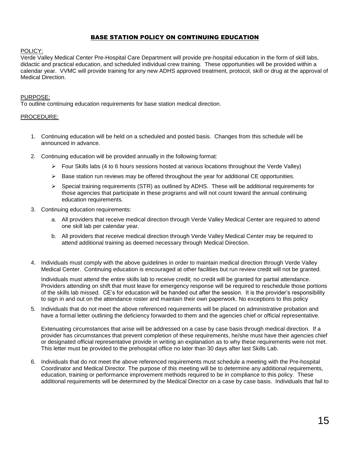# BASE STATION POLICY ON CONTINUING EDUCATION

#### <span id="page-14-0"></span>POLICY:

Verde Valley Medical Center Pre-Hospital Care Department will provide pre-hospital education in the form of skill labs, didactic and practical education, and scheduled individual crew training. These opportunities will be provided within a calendar year. VVMC will provide training for any new ADHS approved treatment, protocol, skill or drug at the approval of Medical Direction.

### PURPOSE:

To outline continuing education requirements for base station medical direction.

### PROCEDURE:

- 1. Continuing education will be held on a scheduled and posted basis. Changes from this schedule will be announced in advance.
- 2. Continuing education will be provided annually in the following format:
	- $\triangleright$  Four Skills labs (4 to 6 hours sessions hosted at various locations throughout the Verde Valley)
	- $\triangleright$  Base station run reviews may be offered throughout the year for additional CE opportunities.
	- $\triangleright$  Special training requirements (STR) as outlined by ADHS. These will be additional requirements for those agencies that participate in these programs and will not count toward the annual continuing education requirements.
- 3. Continuing education requirements:
	- a. All providers that receive medical direction through Verde Valley Medical Center are required to attend one skill lab per calendar year.
	- b. All providers that receive medical direction through Verde Valley Medical Center may be required to attend additional training as deemed necessary through Medical Direction.
- 4. Individuals must comply with the above guidelines in order to maintain medical direction through Verde Valley Medical Center. Continuing education is encouraged at other facilities but run review credit will not be granted.

Individuals must attend the entire skills lab to receive credit; no credit will be granted for partial attendance. Providers attending on shift that must leave for emergency response will be required to reschedule those portions of the skills lab missed. CE's for education will be handed out after the session. It is the provider's responsibility to sign in and out on the attendance roster and maintain their own paperwork. No exceptions to this policy

5. Individuals that do not meet the above referenced requirements will be placed on administrative probation and have a formal letter outlining the deficiency forwarded to them and the agencies chief or official representative.

Extenuating circumstances that arise will be addressed on a case by case basis through medical direction. If a provider has circumstances that prevent completion of these requirements, he/she must have their agencies chief or designated official representative provide in writing an explanation as to why these requirements were not met. This letter must be provided to the prehospital office no later than 30 days after last Skills Lab.

6. Individuals that do not meet the above referenced requirements must schedule a meeting with the Pre-hospital Coordinator and Medical Director. The purpose of this meeting will be to determine any additional requirements, education, training or performance improvement methods required to be in compliance to this policy. These additional requirements will be determined by the Medical Director on a case by case basis. Individuals that fail to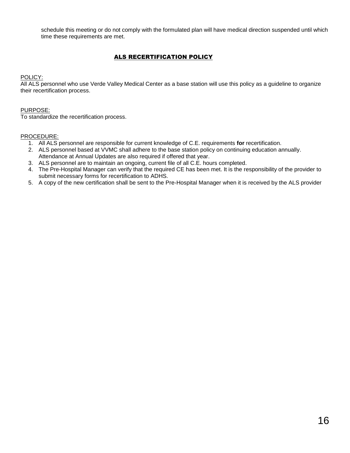schedule this meeting or do not comply with the formulated plan will have medical direction suspended until which time these requirements are met.

# ALS RECERTIFICATION POLICY

POLICY:

All ALS personnel who use Verde Valley Medical Center as a base station will use this policy as a guideline to organize their recertification process.

### PURPOSE:

To standardize the recertification process.

- 1. All ALS personnel are responsible for current knowledge of C.E. requirements **for** recertification.
- 2. ALS personnel based at VVMC shall adhere to the base station policy on continuing education annually. Attendance at Annual Updates are also required if offered that year.
- 3. ALS personnel are to maintain an ongoing, current file of all C.E. hours completed.
- 4. The Pre-Hospital Manager can verify that the required CE has been met. It is the responsibility of the provider to submit necessary forms for recertification to ADHS.
- <span id="page-15-0"></span>5. A copy of the new certification shall be sent to the Pre-Hospital Manager when it is received by the ALS provider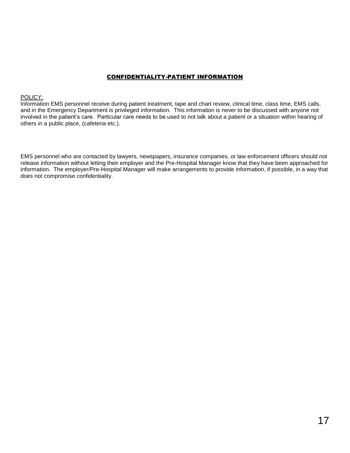# CONFIDENTIALITY-PATIENT INFORMATION

#### POLICY:

Information EMS personnel receive during patient treatment, tape and chart review, clinical time, class time, EMS calls, and in the Emergency Department is privileged information. This information is never to be discussed with anyone not involved in the patient's care. Particular care needs to be used to not talk about a patient or a situation within hearing of others in a public place, (cafeteria etc.).

EMS personnel who are contacted by lawyers, newspapers, insurance companies, or law enforcement officers should not release information without letting their employer and the Pre-Hospital Manager know that they have been approached for information. The employer/Pre-Hospital Manager will make arrangements to provide information, if possible, in a way that does not compromise confidentiality.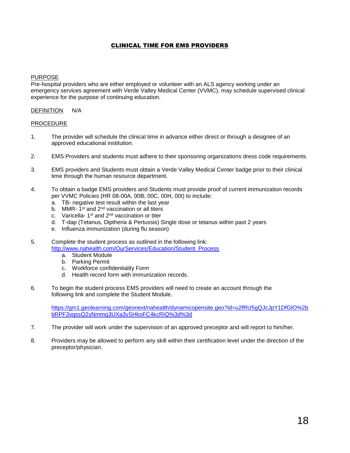## CLINICAL TIME FOR EMS PROVIDERS

## <span id="page-17-0"></span>PURPOSE

Pre-hospital providers who are either employed or volunteer with an ALS agency working under an emergency services agreement with Verde Valley Medical Center (VVMC), may schedule supervised clinical experience for the purpose of continuing education.

#### DEFINITION N/A

#### PROCEDURE

- 1. The provider will schedule the clinical time in advance either direct or through a designee of an approved educational institution.
- 2. EMS Providers and students must adhere to their sponsoring organizations dress code requirements.
- 3. EMS providers and Students must obtain a Verde Valley Medical Center badge prior to their clinical time through the human resource department.
- 4. To obtain a badge EMS providers and Students must provide proof of current immunization records per VVMC Policies (HR 08-00A, 00B, 00C, 00H, 00I) to include:
	- a. TB- negative test result within the last year
	- b. MMR-1<sup>st</sup> and 2<sup>nd</sup> vaccination or all titers
	- c. Varicella-1<sup>st</sup> and 2<sup>nd</sup> vaccination or titer
	- d. T-dap (Tetanus, Diptheria & Pertussis) Single dose or tetanus within past 2 years
	- e. Influenza immunization (during flu season)
- 5. Complete the student process as outlined in the following link: [http://www.nahealth.com/OurServices/Education/Student\\_Process](http://www.nahealth.com/OurServices/Education/Student_Process)
	- a. Student Module
	- b. Parking Permit
	- c. Workforce confidentiality Form
	- d. Health record form with immunization records.
- 6. To begin the student process EMS providers will need to create an account through the following link and complete the Student Module.

[https://gm1.geolearning.com/geonext/nahealth/dynamicopensite.geo?id=u2fRU5gQJcJpY1DfGlO%2b](https://gm1.geolearning.com/geonext/nahealth/dynamicopensite.geo?id=u2fRU5gQJcJpY1DfGlO%2b%20bRPF3vqssQ2yNmmg3UXa3vSHkoFC4kcRIQ%3d%3d)  [bRPF3vqssQ2yNmmg3UXa3vSHkoFC4kcRIQ%3d%3d](https://gm1.geolearning.com/geonext/nahealth/dynamicopensite.geo?id=u2fRU5gQJcJpY1DfGlO%2b%20bRPF3vqssQ2yNmmg3UXa3vSHkoFC4kcRIQ%3d%3d)

- 7. The provider will work under the supervision of an approved preceptor and will report to him/her.
- 8. Providers may be allowed to perform any skill within their certification level under the direction of the preceptor/physician.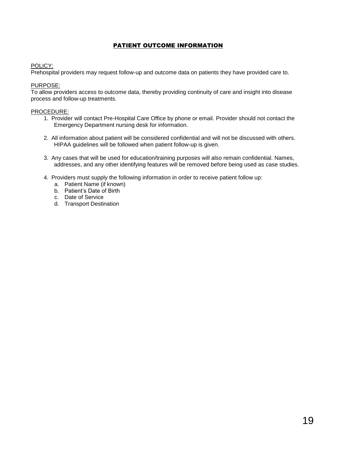# PATIENT OUTCOME INFORMATION

## <span id="page-18-0"></span>POLICY:

Prehospital providers may request follow-up and outcome data on patients they have provided care to.

## PURPOSE:

To allow providers access to outcome data, thereby providing continuity of care and insight into disease process and follow-up treatments.

- 1. Provider will contact Pre-Hospital Care Office by phone or email. Provider should not contact the Emergency Department nursing desk for information.
- 2. All information about patient will be considered confidential and will not be discussed with others. HIPAA guidelines will be followed when patient follow-up is given.
- 3. Any cases that will be used for education/training purposes will also remain confidential. Names, addresses, and any other identifying features will be removed before being used as case studies.
- 4. Providers must supply the following information in order to receive patient follow up:
	- a. Patient Name (if known)
	- b. Patient's Date of Birth
	- c. Date of Service
	- d. Transport Destination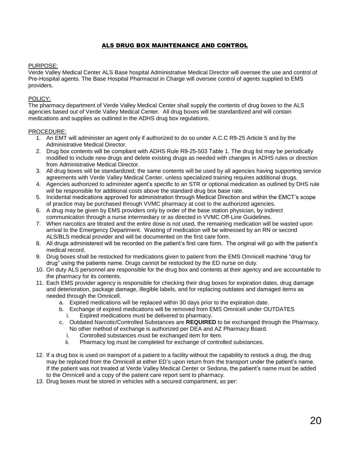## ALS DRUG BOX MAINTENANCE AND CONTROL

### <span id="page-19-0"></span>PURPOSE:

Verde Valley Medical Center ALS Base hospital Administrative Medical Director will oversee the use and control of Pre-Hospital agents. The Base Hospital Pharmacist in Charge will oversee control of agents supplied to EMS providers.

### POLICY:

The pharmacy department of Verde Valley Medical Center shall supply the contents of drug boxes to the ALS agencies based out of Verde Valley Medical Center. All drug boxes will be standardized and will contain medications and supplies as outlined in the ADHS drug box regulations.

- 1. An EMT will administer an agent only if authorized to do so under A.C.C R9-25 Article 5 and by the Administrative Medical Director.
- 2. Drug box contents will be compliant with ADHS Rule R9-25-503 Table 1. The drug list may be periodically modified to include new drugs and delete existing drugs as needed with changes in ADHS rules or direction from Administrative Medical Director.
- 3. All drug boxes will be standardized; the same contents will be used by all agencies having supporting service agreements with Verde Valley Medical Center, unless specialized training requires additional drugs.
- 4. Agencies authorized to administer agent's specific to an STR or optional medication as outlined by DHS rule will be responsible for additional costs above the standard drug box base rate.
- 5. Incidental medications approved for administration through Medical Direction and within the EMCT's scope of practice may be purchased through VVMC pharmacy at cost to the authorized agencies.
- 6. A drug may be given by EMS providers only by order of the base station physician, by indirect communication through a nurse intermediary or as directed in VVMC Off-Line Guidelines.
- 7. When narcotics are titrated and the entire dose is not used, the remaining medication will be wasted upon arrival to the Emergency Department. Wasting of medication will be witnessed by an RN or second ALS/BLS medical provider and will be documented on the first care form.
- 8. All drugs administered will be recorded on the patient's first care form. The original will go with the patient's medical record.
- 9. Drug boxes shall be restocked for medications given to patient from the EMS Omnicell machine "drug for drug" using the patients name. Drugs cannot be restocked by the ED nurse on duty.
- 10. On duty ALS personnel are responsible for the drug box and contents at their agency and are accountable to the pharmacy for its contents.
- 11. Each EMS provider agency is responsible for checking their drug boxes for expiration dates, drug damage and deterioration, package damage, illegible labels, and for replacing outdates and damaged items as needed through the Omnicell.
	- a. Expired medications will be replaced within 30 days prior to the expiration date.
	- b. Exchange of expired medications will be removed from EMS Omnicell under OUTDATES
		- i. Expired medications must be delivered to pharmacy.
	- c. Outdated Narcotic/Controlled Substances are **REQUIRED** to be exchanged through the Pharmacy. No other method of exchange is authorized per DEA and AZ Pharmacy Board.
		- i. Controlled substances must be exchanged item for item.
		- ii. Pharmacy log must be completed for exchange of controlled substances.
- 12. If a drug box is used on transport of a patient to a facility without the capability to restock a drug, the drug may be replaced from the Omnicell at either ED's upon return from the transport under the patient's name. If the patient was not treated at Verde Valley Medical Center or Sedona, the patient's name must be added to the Omnicell and a copy of the patient care report sent to pharmacy.
- 13. Drug boxes must be stored in vehicles with a secured compartment, as per: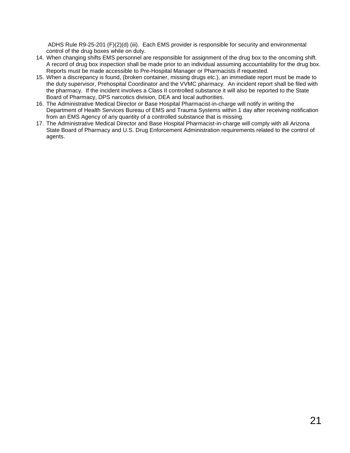ADHS Rule R9-25-201 (F)(2)(d) (iii). Each EMS provider is responsible for security and environmental control of the drug boxes while on duty.

- 14. When changing shifts EMS personnel are responsible for assignment of the drug box to the oncoming shift. A record of drug box inspection shall be made prior to an individual assuming accountability for the drug box. Reports must be made accessible to Pre-Hospital Manager or Pharmacists if requested.
- 15. When a discrepancy is found, (broken container, missing drugs etc.), an immediate report must be made to the duty supervisor, Prehospital Coordinator and the VVMC pharmacy. An incident report shall be filed with the pharmacy. If the incident involves a Class II controlled substance it will also be reported to the State Board of Pharmacy, DPS narcotics division, DEA and local authorities.
- 16. The Administrative Medical Director or Base Hospital Pharmacist-in-charge will notify in writing the Department of Health Services Bureau of EMS and Trauma Systems within 1 day after receiving notification from an EMS Agency of any quantity of a controlled substance that is missing.
- 17. The Administrative Medical Director and Base Hospital Pharmacist-in-charge will comply with all Arizona State Board of Pharmacy and U.S. Drug Enforcement Administration requirements related to the control of agents.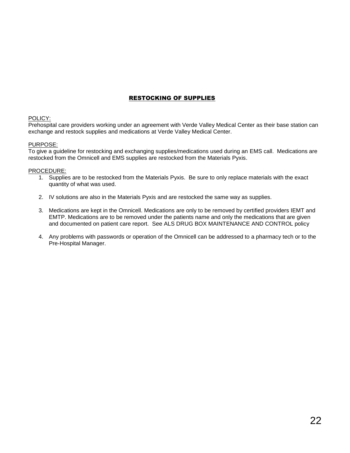# RESTOCKING OF SUPPLIES

### <span id="page-21-0"></span>POLICY:

Prehospital care providers working under an agreement with Verde Valley Medical Center as their base station can exchange and restock supplies and medications at Verde Valley Medical Center.

### PURPOSE:

To give a guideline for restocking and exchanging supplies/medications used during an EMS call. Medications are restocked from the Omnicell and EMS supplies are restocked from the Materials Pyxis.

- 1. Supplies are to be restocked from the Materials Pyxis. Be sure to only replace materials with the exact quantity of what was used.
- 2. IV solutions are also in the Materials Pyxis and are restocked the same way as supplies.
- 3. Medications are kept in the Omnicell. Medications are only to be removed by certified providers IEMT and EMTP. Medications are to be removed under the patients name and only the medications that are given and documented on patient care report. See ALS DRUG BOX MAINTENANCE AND CONTROL policy
- 4. Any problems with passwords or operation of the Omnicell can be addressed to a pharmacy tech or to the Pre-Hospital Manager.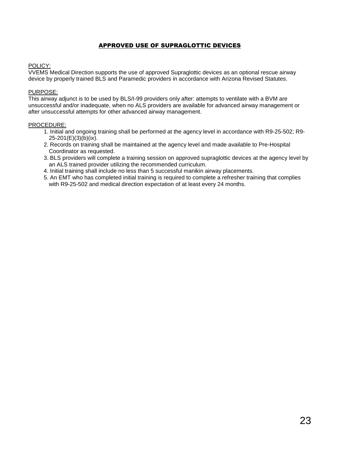# APPROVED USE OF SUPRAGLOTTIC DEVICES

## POLICY:

VVEMS Medical Direction supports the use of approved Supraglottic devices as an optional rescue airway device by properly trained BLS and Paramedic providers in accordance with Arizona Revised Statutes.

### PURPOSE:

This airway adjunct is to be used by BLS/I-99 providers only after: attempts to ventilate with a BVM are unsuccessful and/or inadequate, when no ALS providers are available for advanced airway management or after unsuccessful attempts for other advanced airway management.

- 1. Initial and ongoing training shall be performed at the agency level in accordance with R9-25-502; R9- 25-201(E)(3)(b)(ix).
- 2. Records on training shall be maintained at the agency level and made available to Pre-Hospital Coordinator as requested.
- 3. BLS providers will complete a training session on approved supraglottic devices at the agency level by an ALS trained provider utilizing the recommended curriculum.
- 4. Initial training shall include no less than 5 successful manikin airway placements.
- 5. An EMT who has completed initial training is required to complete a refresher training that complies with R9-25-502 and medical direction expectation of at least every 24 months.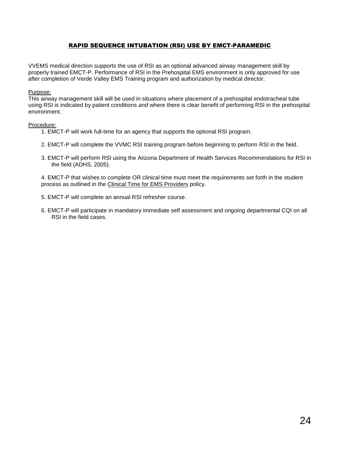## RAPID SEQUENCE INTUBATION (RSI) USE BY EMCT-PARAMEDIC

<span id="page-23-0"></span>VVEMS medical direction supports the use of RSI as an optional advanced airway management skill by properly trained EMCT-P. Performance of RSI in the Prehospital EMS environment is only approved for use after completion of Verde Valley EMS Training program and authorization by medical director.

#### Purpose:

This airway management skill will be used in situations where placement of a prehospital endotracheal tube using RSI is indicated by patient conditions *and* where there is clear benefit of performing RSI in the prehospital environment.

#### Procedure:

- 1. EMCT-P will work full-time for an agency that supports the optional RSI program.
- 2. EMCT-P will complete the VVMC RSI training program before beginning to perform RSI in the field.
- 3. EMCT-P will perform RSI using the Arizona Department of Health Services Recommendations for RSI in the field (ADHS, 2005).

4. EMCT-P that wishes to complete OR clinical time must meet the requirements set forth in the student process as outlined in the Clinical Time for EMS Providers policy.

- 5. EMCT-P will complete an annual RSI refresher course.
- 6. EMCT-P will participate in mandatory immediate self assessment and ongoing departmental CQI on all RSI in the field cases.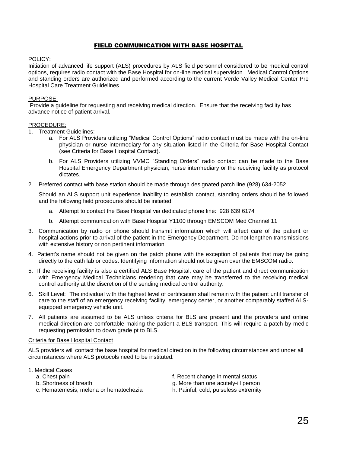## FIELD COMMUNICATION WITH BASE HOSPITAL

#### POLICY:

Initiation of advanced life support (ALS) procedures by ALS field personnel considered to be medical control options, requires radio contact with the Base Hospital for on-line medical supervision. Medical Control Options and standing orders are authorized and performed according to the current Verde Valley Medical Center Pre Hospital Care Treatment Guidelines.

#### PURPOSE:

Provide a guideline for requesting and receiving medical direction. Ensure that the receiving facility has advance notice of patient arrival.

#### PROCEDURE:

- 1. Treatment Guidelines:
	- a. For ALS Providers utilizing "Medical Control Options" radio contact must be made with the on-line physician or nurse intermediary for any situation listed in the Criteria for Base Hospital Contact (see Criteria for Base Hospital Contact).
	- b. For ALS Providers utilizing VVMC "Standing Orders" radio contact can be made to the Base Hospital Emergency Department physician, nurse intermediary or the receiving facility as protocol dictates.
- 2. Preferred contact with base station should be made through designated patch line (928) 634-2052.

Should an ALS support unit experience inability to establish contact, standing orders should be followed and the following field procedures should be initiated:

- a. Attempt to contact the Base Hospital via dedicated phone line: 928 639 6174
- b. Attempt communication with Base Hospital Y1100 through EMSCOM Med Channel 11
- 3. Communication by radio or phone should transmit information which will affect care of the patient or hospital actions prior to arrival of the patient in the Emergency Department. Do not lengthen transmissions with extensive history or non pertinent information.
- 4. Patient's name should not be given on the patch phone with the exception of patients that may be going directly to the cath lab or codes. Identifying information should not be given over the EMSCOM radio.
- 5. If the receiving facility is also a certified ALS Base Hospital, care of the patient and direct communication with Emergency Medical Technicians rendering that care may be transferred to the receiving medical control authority at the discretion of the sending medical control authority.
- 6. Skill Level: The individual with the highest level of certification shall remain with the patient until transfer of care to the staff of an emergency receiving facility, emergency center, or another comparably staffed ALSequipped emergency vehicle unit.
- 7. All patients are assumed to be ALS unless criteria for BLS are present and the providers and online medical direction are comfortable making the patient a BLS transport. This will require a patch by medic requesting permission to down grade pt to BLS.

#### Criteria for Base Hospital Contact

ALS providers will contact the base hospital for medical direction in the following circumstances and under all circumstances where ALS protocols need to be instituted:

#### 1. Medical Cases

- 
- 
- c. Hematemesis, melena or hematochezia h. Painful, cold, pulseless extremity
- a. Chest pain f. Recent change in mental status
- b. Shortness of breath g. More than one acutely-ill person
	-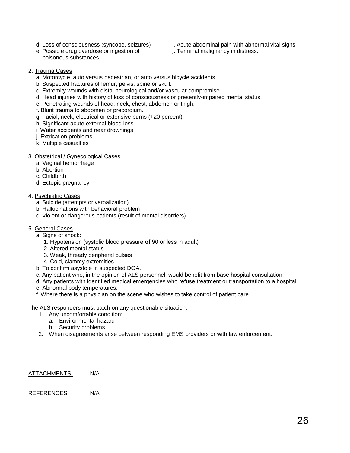- 
- d. Loss of consciousness (syncope, seizures) i. Acute abdominal pain with abnormal vital signs
- e. Possible drug overdose or ingestion of i. Terminal malignancy in distress. poisonous substances
- 

- 2. Trauma Cases
	- a. Motorcycle, auto versus pedestrian, or auto versus bicycle accidents.
	- b. Suspected fractures of femur, pelvis, spine or skull.
	- c. Extremity wounds with distal neurological and/or vascular compromise.
	- d. Head injuries with history of loss of consciousness or presently-impaired mental status.
	- e. Penetrating wounds of head, neck, chest, abdomen or thigh.
	- f. Blunt trauma to abdomen or precordium.
	- g. Facial, neck, electrical or extensive burns (+20 percent),
	- h. Significant acute external blood loss.
	- i. Water accidents and near drownings
	- j. Extrication problems
	- k. Multiple casualties

### 3. Obstetrical / Gynecological Cases

- a. Vaginal hemorrhage
- b. Abortion
- c. Childbirth
- d. Ectopic pregnancy
- 4. Psychiatric Cases
	- a. Suicide (attempts or verbalization)
	- b. Hallucinations with behavioral problem
	- c. Violent or dangerous patients (result of mental disorders)
- 5. General Cases
	- a. Signs of shock:
		- 1. Hypotension (systolic blood pressure **of** 90 or less in adult)
		- 2. Altered mental status
		- 3. Weak, thready peripheral pulses
		- 4. Cold, clammy extremities
	- b. To confirm asystole in suspected DOA.
	- c. Any patient who, in the opinion of ALS personnel, would benefit from base hospital consultation.
	- d. Any patients with identified medical emergencies who refuse treatment or transportation to a hospital.
	- e. Abnormal body temperatures.
	- f. Where there is a physician on the scene who wishes to take control of patient care.

The ALS responders must patch on any questionable situation:

- 1. Any uncomfortable condition:
	- a. Environmental hazard
	- b. Security problems
- 2. When disagreements arise between responding EMS providers or with law enforcement.

#### ATTACHMENTS: N/A

## REFERENCES: N/A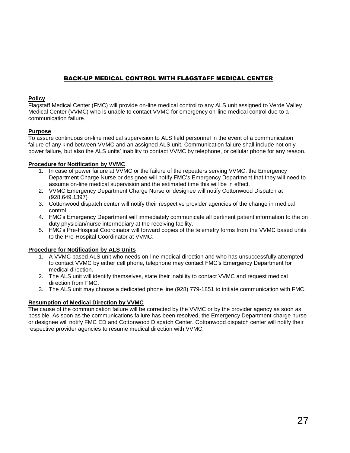# BACK-UP MEDICAL CONTROL WITH FLAGSTAFF MEDICAL CENTER

## **Policy**

Flagstaff Medical Center (FMC) will provide on-line medical control to any ALS unit assigned to Verde Valley Medical Center (VVMC) who is unable to contact VVMC for emergency on-line medical control due to a communication failure.

## **Purpose**

To assure continuous on-line medical supervision to ALS field personnel in the event of a communication failure of any kind between VVMC and an assigned ALS unit. Communication failure shall include not only power failure, but also the ALS units' inability to contact VVMC by telephone, or cellular phone for any reason.

## **Procedure for Notification by VVMC**

- 1. In case of power failure at VVMC or the failure of the repeaters serving VVMC, the Emergency Department Charge Nurse or designee will notify FMC's Emergency Department that they will need to assume on-line medical supervision and the estimated time this will be in effect.
- 2. VVMC Emergency Department Charge Nurse or designee will notify Cottonwood Dispatch at (928.649.1397)
- 3. Cottonwood dispatch center will notify their respective provider agencies of the change in medical control.
- 4. FMC's Emergency Department will immediately communicate all pertinent patient information to the on duty physician/nurse intermediary at the receiving facility.
- 5. FMC's Pre-Hospital Coordinator will forward copies of the telemetry forms from the VVMC based units to the Pre-Hospital Coordinator at VVMC.

## **Procedure for Notification by ALS Units**

- 1. A VVMC based ALS unit who needs on-line medical direction and who has unsuccessfully attempted to contact VVMC by either cell phone, telephone may contact FMC's Emergency Department for medical direction.
- 2. The ALS unit will identify themselves, state their inability to contact VVMC and request medical direction from FMC.
- 3. The ALS unit may choose a dedicated phone line (928) 779-1851 to initiate communication with FMC.

## **Resumption of Medical Direction by VVMC**

The cause of the communication failure will be corrected by the VVMC or by the provider agency as soon as possible. As soon as the communications failure has been resolved, the Emergency Department charge nurse or designee will notify FMC ED and Cottonwood Dispatch Center. Cottonwood dispatch center will notify their respective provider agencies to resume medical direction with VVMC.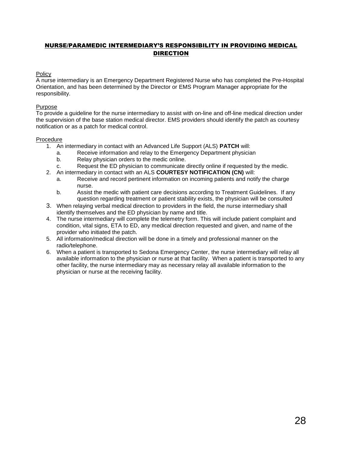# NURSE/PARAMEDIC INTERMEDIARY'S RESPONSIBILITY IN PROVIDING MEDICAL DIRECTION

### **Policy**

A nurse intermediary is an Emergency Department Registered Nurse who has completed the Pre-Hospital Orientation, and has been determined by the Director or EMS Program Manager appropriate for the responsibility.

#### Purpose

To provide a guideline for the nurse intermediary to assist with on-line and off-line medical direction under the supervision of the base station medical director. EMS providers should identify the patch as courtesy notification or as a patch for medical control.

### Procedure

- 1. An intermediary in contact with an Advanced Life Support (ALS) **PATCH** will:
	- a. Receive information and relay to the Emergency Department physician
	- b. Relay physician orders to the medic online.
	- c. Request the ED physician to communicate directly online if requested by the medic.
- 2. An intermediary in contact with an ALS **COURTESY NOTIFICATION (CN)** will:
	- a. Receive and record pertinent information on incoming patients and notify the charge nurse.
	- b. Assist the medic with patient care decisions according to Treatment Guidelines. If any question regarding treatment or patient stability exists, the physician will be consulted
- 3. When relaying verbal medical direction to providers in the field, the nurse intermediary shall identify themselves and the ED physician by name and title.
- 4. The nurse intermediary will complete the telemetry form. This will include patient complaint and condition, vital signs, ETA to ED, any medical direction requested and given, and name of the provider who initiated the patch.
- 5. All information/medical direction will be done in a timely and professional manner on the radio/telephone.
- 6. When a patient is transported to Sedona Emergency Center, the nurse intermediary will relay all available information to the physician or nurse at that facility. When a patient is transported to any other facility, the nurse intermediary may as necessary relay all available information to the physician or nurse at the receiving facility.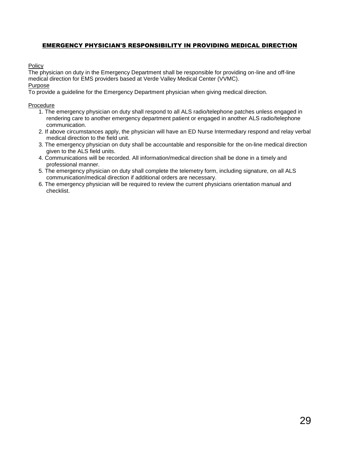# EMERGENCY PHYSICIAN'S RESPONSIBILITY IN PROVIDING MEDICAL DIRECTION

Policy

The physician on duty in the Emergency Department shall be responsible for providing on-line and off-line medical direction for EMS providers based at Verde Valley Medical Center (VVMC). Purpose

To provide a guideline for the Emergency Department physician when giving medical direction.

### Procedure

- 1. The emergency physician on duty shall respond to all ALS radio/telephone patches unless engaged in rendering care to another emergency department patient or engaged in another ALS radio/telephone communication.
- 2. If above circumstances apply, the physician will have an ED Nurse Intermediary respond and relay verbal medical direction to the field unit.
- 3. The emergency physician on duty shall be accountable and responsible for the on-line medical direction given to the ALS field units.
- 4. Communications will be recorded. All information/medical direction shall be done in a timely and professional manner.
- 5. The emergency physician on duty shall complete the telemetry form, including signature, on all ALS communication/medical direction if additional orders are necessary.
- 6. The emergency physician will be required to review the current physicians orientation manual and checklist.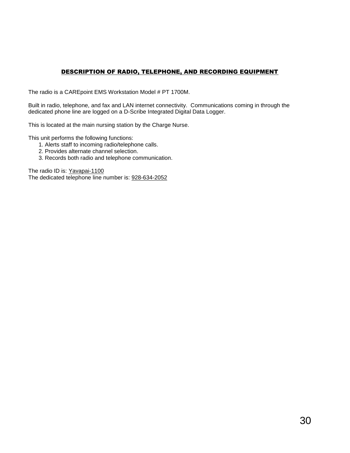# DESCRIPTION OF RADIO, TELEPHONE, AND RECORDING EQUIPMENT

<span id="page-29-0"></span>The radio is a CAREpoint EMS Workstation Model # PT 1700M.

Built in radio, telephone, and fax and LAN internet connectivity. Communications coming in through the dedicated phone line are logged on a D-Scribe Integrated Digital Data Logger.

This is located at the main nursing station by the Charge Nurse.

This unit performs the following functions:

- 1. Alerts staff to incoming radio/telephone calls.
- 2. Provides alternate channel selection.
- 3. Records both radio and telephone communication.

The radio ID is: Yavapai-1100

The dedicated telephone line number is: 928-634-2052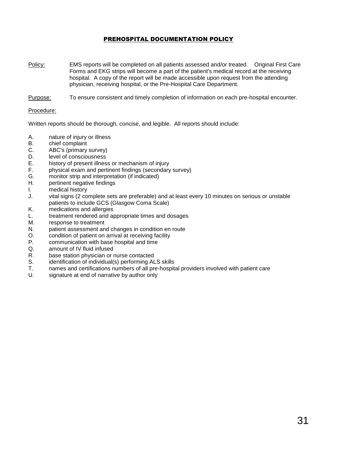## PREHOSPITAL DOCUMENTATION POLICY

- <span id="page-30-0"></span>Policy: EMS reports will be completed on all patients assessed and/or treated. Original First Care Forms and EKG strips will become a part of the patient's medical record at the receiving hospital. A copy of the report will be made accessible upon request from the attending physician, receiving hospital, or the Pre-Hospital Care Department.
- Purpose: To ensure consistent and timely completion of information on each pre-hospital encounter.

#### Procedure:

Written reports should be thorough, concise, and legible. All reports should include:

- A. nature of injury or illness
- B. chief complaint
- C. ABC's (primary survey)
- D. level of consciousness
- E. history of present illness or mechanism of injury
- F. physical exam and pertinent findings (secondary survey)
- G. monitor strip and interpretation (if indicated)
- H. pertinent negative findings
- I. medical history
- J. vital signs (2 complete sets are preferable) and at least every 10 minutes on serious or unstable patients to include GCS (Glasgow Coma Scale)
- K. medications and allergies
- L. treatment rendered and appropriate times and dosages
- M. response to treatment
- N. patient assessment and changes in condition en route
- O. condition of patient on arrival at receiving facility
- P. communication with base hospital and time
- Q. amount of IV fluid infused
- R. base station physician or nurse contacted
- S. identification of individual(s) performing ALS skills
- T. names and certifications numbers of all pre-hospital providers involved with patient care
- U. signature at end of narrative by author only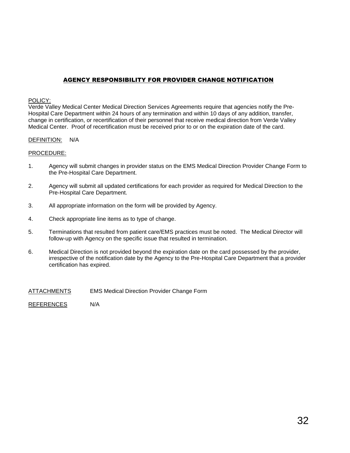# AGENCY RESPONSIBILITY FOR PROVIDER CHANGE NOTIFICATION

#### POLICY:

Verde Valley Medical Center Medical Direction Services Agreements require that agencies notify the Pre-Hospital Care Department within 24 hours of any termination and within 10 days of any addition, transfer, change in certification, or recertification of their personnel that receive medical direction from Verde Valley Medical Center. Proof of recertification must be received prior to or on the expiration date of the card.

### DEFINITION: N/A

#### PROCEDURE:

- 1. Agency will submit changes in provider status on the EMS Medical Direction Provider Change Form to the Pre-Hospital Care Department.
- 2. Agency will submit all updated certifications for each provider as required for Medical Direction to the Pre-Hospital Care Department.
- 3. All appropriate information on the form will be provided by Agency.
- 4. Check appropriate line items as to type of change.
- 5. Terminations that resulted from patient care/EMS practices must be noted. The Medical Director will follow-up with Agency on the specific issue that resulted in termination.
- 6. Medical Direction is not provided beyond the expiration date on the card possessed by the provider, irrespective of the notification date by the Agency to the Pre-Hospital Care Department that a provider certification has expired.
- ATTACHMENTS EMS Medical Direction Provider Change Form

REFERENCES N/A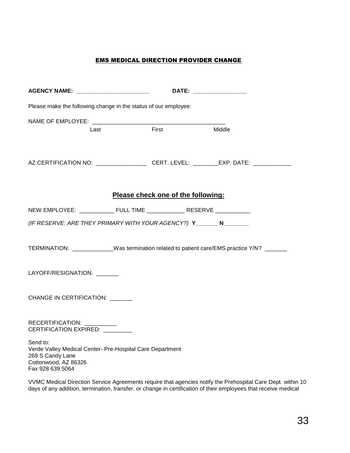# EMS MEDICAL DIRECTION PROVIDER CHANGE

| AGENCY NAME: _______________________                                                                                                  |                                    | DATE: the contract of the contract of the contract of the contract of the contract of the contract of the contract of the contract of the contract of the contract of the contract of the contract of the contract of the cont |  |  |
|---------------------------------------------------------------------------------------------------------------------------------------|------------------------------------|--------------------------------------------------------------------------------------------------------------------------------------------------------------------------------------------------------------------------------|--|--|
| Please make the following change in the status of our employee:                                                                       |                                    |                                                                                                                                                                                                                                |  |  |
| NAME OF EMPLOYEE: NAME OF STRING STRINGERS.                                                                                           |                                    |                                                                                                                                                                                                                                |  |  |
| Last                                                                                                                                  | First                              | Middle                                                                                                                                                                                                                         |  |  |
| AZ CERTIFICATION NO: ______________________CERT. LEVEL: _________EXP. DATE: ____________                                              |                                    |                                                                                                                                                                                                                                |  |  |
|                                                                                                                                       |                                    |                                                                                                                                                                                                                                |  |  |
|                                                                                                                                       | Please check one of the following: |                                                                                                                                                                                                                                |  |  |
| NEW EMPLOYEE: _____________ FULL TIME ______________ RESERVE ____________                                                             |                                    |                                                                                                                                                                                                                                |  |  |
| (IF RESERVE: ARE THEY PRIMARY WITH YOUR AGENCY?) Y________ N________                                                                  |                                    |                                                                                                                                                                                                                                |  |  |
| TERMINATION: _____________Was termination related to patient care/EMS practice Y/N? _______                                           |                                    |                                                                                                                                                                                                                                |  |  |
| LAYOFF/RESIGNATION: ______                                                                                                            |                                    |                                                                                                                                                                                                                                |  |  |
| CHANGE IN CERTIFICATION:                                                                                                              |                                    |                                                                                                                                                                                                                                |  |  |
| RECERTIFICATION: __________<br>CERTIFICATION EXPIRED: ________                                                                        |                                    |                                                                                                                                                                                                                                |  |  |
| Send to:<br>Verde Valley Medical Center- Pre-Hospital Care Department<br>269 S Candy Lane<br>Cottonwood, AZ 86326<br>Fax 928 639 5064 |                                    |                                                                                                                                                                                                                                |  |  |

VVMC Medical Direction Service Agreements require that agencies notify the Prehospital Care Dept. within 10 days of any addition, termination, transfer, or change in certification of their employees that receive medical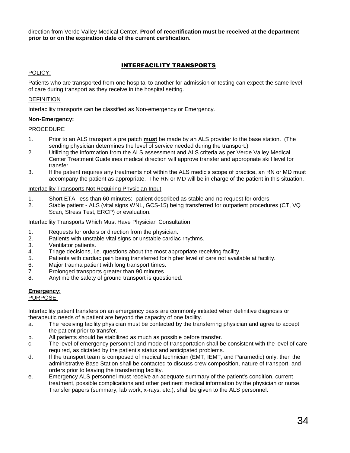direction from Verde Valley Medical Center. **Proof of recertification must be received at the department prior to or on the expiration date of the current certification.**

## INTERFACILITY TRANSPORTS

#### POLICY:

Patients who are transported from one hospital to another for admission or testing can expect the same level of care during transport as they receive in the hospital setting.

### DEFINITION

Interfacility transports can be classified as Non-emergency or Emergency.

### **Non-Emergency:**

### **PROCEDURE**

- 1. Prior to an ALS transport a pre patch **must** be made by an ALS provider to the base station. (The sending physician determines the level of service needed during the transport.)
- 2. Utilizing the information from the ALS assessment and ALS criteria as per Verde Valley Medical Center Treatment Guidelines medical direction will approve transfer and appropriate skill level for transfer.
- 3. If the patient requires any treatments not within the ALS medic's scope of practice, an RN or MD must accompany the patient as appropriate. The RN or MD will be in charge of the patient in this situation.

#### Interfacility Transports Not Requiring Physician Input

- 1. Short ETA, less than 60 minutes: patient described as stable and no request for orders.
- 2. Stable patient ALS (vital signs WNL, GCS-15) being transferred for outpatient procedures (CT, VQ Scan, Stress Test, ERCP) or evaluation.

### Interfacility Transports Which Must Have Physician Consultation

- 1. Requests for orders or direction from the physician.
- 2. Patients with unstable vital signs or unstable cardiac rhythms.
- 3. Ventilator patients.
- 4. Triage decisions, i.e. questions about the most appropriate receiving facility.
- 5. Patients with cardiac pain being transferred for higher level of care not available at facility.
- 6. Major trauma patient with long transport times.
- 7. Prolonged transports greater than 90 minutes.
- 8. Anytime the safety of ground transport is questioned.

# **Emergency:**

# PURPOSE:

Interfacility patient transfers on an emergency basis are commonly initiated when definitive diagnosis or therapeutic needs of a patient are beyond the capacity of one facility.

- a. The receiving facility physician must be contacted by the transferring physician and agree to accept the patient prior to transfer.
- b. All patients should be stabilized as much as possible before transfer.
- c. The level of emergency personnel and mode of transportation shall be consistent with the level of care required, as dictated by the patient's status and anticipated problems.
- d. If the transport team is composed of medical technician (EMT, IEMT, and Paramedic) only, then the administrative Base Station shall be contacted to discuss crew composition, nature of transport, and orders prior to leaving the transferring facility.
- e. Emergency ALS personnel must receive an adequate summary of the patient's condition, current treatment, possible complications and other pertinent medical information by the physician or nurse. Transfer papers (summary, lab work, x-rays, etc.), shall be given to the ALS personnel.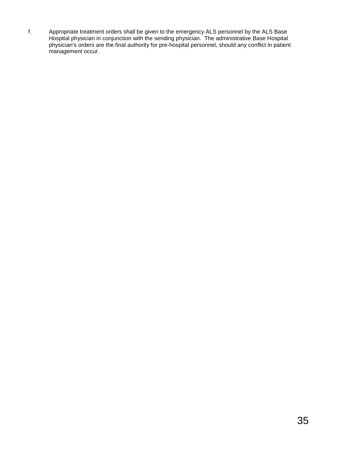f. Appropriate treatment orders shall be given to the emergency ALS personnel by the ALS Base Hospital physician in conjunction with the sending physician. The administrative Base Hospital physician's orders are the final authority for pre-hospital personnel, should any conflict in patient management occur.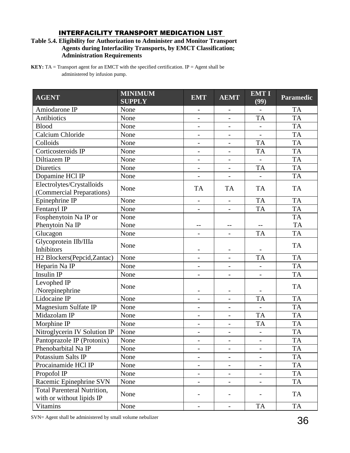# INTERFACILITY TRANSPORT MEDICATION LIST

## **Table 5.4. Eligibility for Authorization to Administer and Monitor Transport Agents during Interfacility Transports, by EMCT Classification; Administration Requirements**

**KEY:** TA = Transport agent for an EMCT with the specified certification. IP = Agent shall be administered by infusion pump.

| <b>AGENT</b>                                                    | <b>MINIMUM</b><br><b>SUPPLY</b> | <b>EMT</b>               | <b>AEMT</b>              | <b>EMT I</b><br>(99)     | <b>Paramedic</b> |
|-----------------------------------------------------------------|---------------------------------|--------------------------|--------------------------|--------------------------|------------------|
| Amiodarone IP                                                   | None                            | $\overline{\phantom{0}}$ | $\qquad \qquad -$        |                          | <b>TA</b>        |
| Antibiotics                                                     | None                            |                          |                          | <b>TA</b>                | <b>TA</b>        |
| <b>Blood</b>                                                    | None                            |                          |                          |                          | <b>TA</b>        |
| Calcium Chloride                                                | None                            | $\overline{\phantom{0}}$ | $\overline{\phantom{0}}$ | $\blacksquare$           | <b>TA</b>        |
| Colloids                                                        | None                            | $\overline{a}$           | $\overline{a}$           | <b>TA</b>                | <b>TA</b>        |
| Corticosteroids IP                                              | None                            | $\overline{a}$           | $\overline{\phantom{0}}$ | <b>TA</b>                | <b>TA</b>        |
| Diltiazem IP                                                    | None                            |                          |                          |                          | <b>TA</b>        |
| <b>Diuretics</b>                                                | None                            | $\overline{a}$           |                          | <b>TA</b>                | <b>TA</b>        |
| Dopamine HCl IP                                                 | None                            |                          |                          |                          | <b>TA</b>        |
| Electrolytes/Crystalloids<br>(Commercial Preparations)          | None                            | <b>TA</b>                | <b>TA</b>                | <b>TA</b>                | <b>TA</b>        |
| Epinephrine IP                                                  | None                            |                          | $\overline{a}$           | <b>TA</b>                | <b>TA</b>        |
| Fentanyl IP                                                     | None                            |                          |                          | <b>TA</b>                | <b>TA</b>        |
| Fosphenytoin Na IP or                                           | None                            |                          |                          |                          | <b>TA</b>        |
| Phenytoin Na IP                                                 | None                            | $-$                      | $-$                      |                          | <b>TA</b>        |
| Glucagon                                                        | None                            |                          |                          | <b>TA</b>                | <b>TA</b>        |
| Glycoprotein IIb/IIIa<br><b>Inhibitors</b>                      | None                            |                          |                          |                          | <b>TA</b>        |
| H2 Blockers(Pepcid, Zantac)                                     | None                            | $\overline{\phantom{0}}$ |                          | <b>TA</b>                | <b>TA</b>        |
| Heparin Na IP                                                   | None                            |                          |                          |                          | <b>TA</b>        |
| <b>Insulin IP</b>                                               | None                            | $\qquad \qquad -$        | $\overline{\phantom{a}}$ | $\overline{\phantom{a}}$ | <b>TA</b>        |
| Levophed IP<br>/Norepinephrine                                  | None                            |                          |                          |                          | <b>TA</b>        |
| Lidocaine IP                                                    | None                            | $\overline{\phantom{0}}$ | $\overline{\phantom{a}}$ | <b>TA</b>                | <b>TA</b>        |
| Magnesium Sulfate IP                                            | None                            |                          |                          |                          | <b>TA</b>        |
| Midazolam IP                                                    | None                            | $\overline{a}$           | $\overline{a}$           | <b>TA</b>                | <b>TA</b>        |
| Morphine IP                                                     | None                            |                          |                          | <b>TA</b>                | <b>TA</b>        |
| Nitroglycerin IV Solution IP                                    | None                            | $\overline{\phantom{0}}$ | $\overline{\phantom{a}}$ |                          | <b>TA</b>        |
| Pantoprazole IP (Protonix)                                      | None                            | $\overline{a}$           | $\overline{a}$           | $\blacksquare$           | <b>TA</b>        |
| Phenobarbital Na IP                                             | None                            | -                        | $\overline{\phantom{a}}$ | $\overline{\phantom{a}}$ | <b>TA</b>        |
| Potassium Salts IP                                              | None                            | $\qquad \qquad -$        | $\qquad \qquad -$        | $\overline{\phantom{a}}$ | <b>TA</b>        |
| Procainamide HCl IP                                             | None                            |                          |                          |                          | <b>TA</b>        |
| Propofol IP                                                     | None                            | $\overline{\phantom{0}}$ | -                        | $\overline{\phantom{a}}$ | TA               |
| Racemic Epinephrine SVN                                         | None                            | $\qquad \qquad -$        | $\qquad \qquad -$        | $\overline{\phantom{a}}$ | <b>TA</b>        |
| <b>Total Parenteral Nutrition,</b><br>with or without lipids IP | None                            |                          |                          |                          | TA               |
| Vitamins                                                        | None                            | $\overline{\phantom{0}}$ | $\equiv$                 | <b>TA</b>                | <b>TA</b>        |

SVN= Agent shall be administered by small volume nebulizer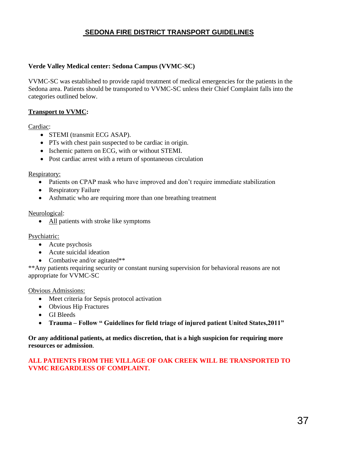# **SEDONA FIRE DISTRICT TRANSPORT GUIDELINES**

# **Verde Valley Medical center: Sedona Campus (VVMC-SC)**

VVMC-SC was established to provide rapid treatment of medical emergencies for the patients in the Sedona area. Patients should be transported to VVMC-SC unless their Chief Complaint falls into the categories outlined below.

# **Transport to VVMC:**

## Cardiac:

- STEMI (transmit ECG ASAP).
- PTs with chest pain suspected to be cardiac in origin.
- Ischemic pattern on ECG, with or without STEMI.
- Post cardiac arrest with a return of spontaneous circulation

## Respiratory:

- Patients on CPAP mask who have improved and don't require immediate stabilization
- Respiratory Failure
- Asthmatic who are requiring more than one breathing treatment

## Neurological:

• All patients with stroke like symptoms

## Psychiatric:

- Acute psychosis
- Acute suicidal ideation
- Combative and/or agitated\*\*

\*\*Any patients requiring security or constant nursing supervision for behavioral reasons are not appropriate for VVMC-SC

## Obvious Admissions:

- Meet criteria for Sepsis protocol activation
- Obvious Hip Fractures
- GI Bleeds
- **Trauma – Follow " Guidelines for field triage of injured patient United States,2011"**

## **Or any additional patients, at medics discretion, that is a high suspicion for requiring more resources or admission**.

## **ALL PATIENTS FROM THE VILLAGE OF OAK CREEK WILL BE TRANSPORTED TO VVMC REGARDLESS OF COMPLAINT.**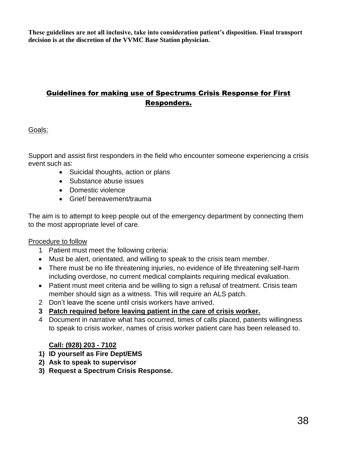**These guidelines are not all inclusive, take into consideration patient's disposition. Final transport decision is at the discretion of the VVMC Base Station physician.** 

# Guidelines for making use of Spectrums Crisis Response for First Responders.

# Goals:

Support and assist first responders in the field who encounter someone experiencing a crisis event such as:

- Suicidal thoughts, action or plans
- Substance abuse issues
- Domestic violence
- Grief/ bereavement/trauma

The aim is to attempt to keep people out of the emergency department by connecting them to the most appropriate level of care.

# Procedure to follow

- 1 Patient must meet the following criteria:
- Must be alert, orientated, and willing to speak to the crisis team member.
- There must be no life threatening injuries, no evidence of life threatening self-harm including overdose, no current medical complaints requiring medical evaluation.
- Patient must meet criteria and be willing to sign a refusal of treatment. Crisis team member should sign as a witness. This will require an ALS patch.
- 2 Don't leave the scene until crisis workers have arrived.
- **3 Patch required before leaving patient in the care of crisis worker.**
- 4 Document in narrative what has occurred, times of calls placed, patients willingness to speak to crisis worker, names of crisis worker patient care has been released to.

# **Call: (928) 203 - 7102**

- **1) ID yourself as Fire Dept/EMS**
- **2) Ask to speak to supervisor**
- **3) Request a Spectrum Crisis Response.**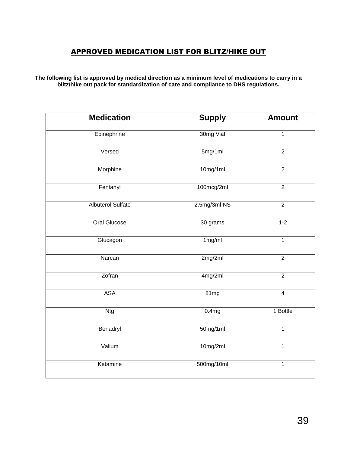# APPROVED MEDICATION LIST FOR BLITZ/HIKE OUT

**The following list is approved by medical direction as a minimum level of medications to carry in a blitz/hike out pack for standardization of care and compliance to DHS regulations.** 

| <b>Medication</b>        | <b>Supply</b> | <b>Amount</b>  |
|--------------------------|---------------|----------------|
| Epinephrine              | 30mg Vial     | $\mathbf{1}$   |
| Versed                   | 5mg/1ml       | $\overline{2}$ |
| Morphine                 | 10mg/1ml      | $\overline{2}$ |
| Fentanyl                 | 100mcg/2ml    | $\overline{2}$ |
| <b>Albuterol Sulfate</b> | 2.5mg/3ml NS  | $\overline{2}$ |
| <b>Oral Glucose</b>      | 30 grams      | $1-2$          |
| Glucagon                 | 1mg/ml        | $\mathbf{1}$   |
| Narcan                   | 2mg/2ml       | $\overline{2}$ |
| Zofran                   | 4mg/2ml       | $\overline{2}$ |
| <b>ASA</b>               | 81mg          | $\overline{4}$ |
| <b>Ntg</b>               | 0.4mg         | 1 Bottle       |
| Benadryl                 | 50mg/1ml      | 1              |
| Valium                   | 10mg/2ml      | 1              |
| Ketamine                 | 500mg/10ml    | 1              |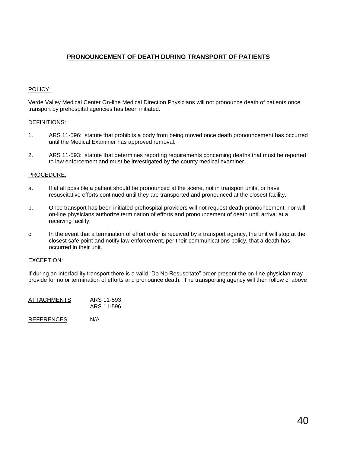# **PRONOUNCEMENT OF DEATH DURING TRANSPORT OF PATIENTS**

## POLICY:

Verde Valley Medical Center On-line Medical Direction Physicians will not pronounce death of patients once transport by prehospital agencies has been initiated.

#### DEFINITIONS:

- 1. ARS 11-596: statute that prohibits a body from being moved once death pronouncement has occurred until the Medical Examiner has approved removal.
- 2. ARS 11-593: statute that determines reporting requirements concerning deaths that must be reported to law enforcement and must be investigated by the county medical examiner.

### PROCEDURE:

- a. If at all possible a patient should be pronounced at the scene, not in transport units, or have resuscitative efforts continued until they are transported and pronounced at the closest facility.
- b. Once transport has been initiated prehospital providers will not request death pronouncement, nor will on-line physicians authorize termination of efforts and pronouncement of death until arrival at a receiving facility.
- c. In the event that a termination of effort order is received by a transport agency, the unit will stop at the closest safe point and notify law enforcement, per their communications policy, that a death has occurred in their unit.

#### EXCEPTION:

If during an interfacility transport there is a valid "Do No Resuscitate" order present the on-line physician may provide for no or termination of efforts and pronounce death. The transporting agency will then follow c. above

| <b>ATTACHMENTS</b> | ARS 11-593<br>ARS 11-596 |  |  |
|--------------------|--------------------------|--|--|
| <b>REFERENCES</b>  | N/A                      |  |  |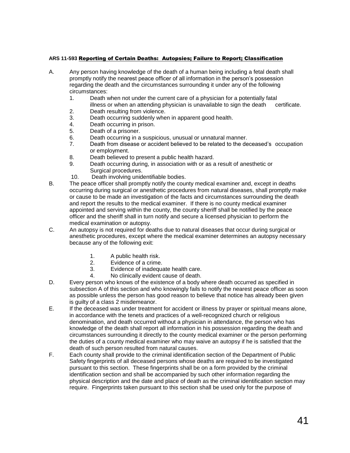#### **ARS 11-593** Reporting of Certain Deaths: Autopsies; Failure to Report; Classification

- A. Any person having knowledge of the death of a human being including a fetal death shall promptly notify the nearest peace officer of all information in the person's possession regarding the death and the circumstances surrounding it under any of the following circumstances:
	- 1. Death when not under the current care of a physician for a potentially fatal illness or when an attending physician is unavailable to sign the death certificate.
	- 2. Death resulting from violence.
	- 3. Death occurring suddenly when in apparent good health.
	- 4. Death occurring in prison.
	- 5. Death of a prisoner.
	- 6. Death occurring in a suspicious, unusual or unnatural manner.
	- 7. Death from disease or accident believed to be related to the deceased's occupation or employment.
	- 8. Death believed to present a public health hazard.
	- 9. Death occurring during, in association with or as a result of anesthetic or Surgical procedures.
	- 10. Death involving unidentifiable bodies.
- B. The peace officer shall promptly notify the county medical examiner and, except in deaths occurring during surgical or anesthetic procedures from natural diseases, shall promptly make or cause to be made an investigation of the facts and circumstances surrounding the death and report the results to the medical examiner. If there is no county medical examiner appointed and serving within the county, the county sheriff shall be notified by the peace officer and the sheriff shall in turn notify and secure a licensed physician to perform the medical examination or autopsy.
- C. An autopsy is not required for deaths due to natural diseases that occur during surgical or anesthetic procedures, except where the medical examiner determines an autopsy necessary because any of the following exit:
	- 1. A public health risk.
	- 2. Evidence of a crime.
	- 3. Evidence of inadequate health care.
	- 4. No clinically evident cause of death.
- D. Every person who knows of the existence of a body where death occurred as specified in subsection A of this section and who knowingly fails to notify the nearest peace officer as soon as possible unless the person has good reason to believe that notice has already been given is guilty of a class 2 misdemeanor.
- E. If the deceased was under treatment for accident or illness by prayer or spiritual means alone, in accordance with the tenets and practices of a well-recognized church or religious denomination, and death occurred without a physician in attendance, the person who has knowledge of the death shall report all information in his possession regarding the death and circumstances surrounding it directly to the county medical examiner or the person performing the duties of a county medical examiner who may waive an autopsy if he is satisfied that the death of such person resulted from natural causes.
- F. Each county shall provide to the criminal identification section of the Department of Public Safety fingerprints of all deceased persons whose deaths are required to be investigated pursuant to this section. These fingerprints shall be on a form provided by the criminal identification section and shall be accompanied by such other information regarding the physical description and the date and place of death as the criminal identification section may require. Fingerprints taken pursuant to this section shall be used only for the purpose of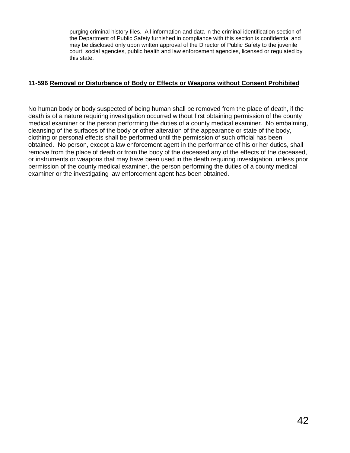purging criminal history files. All information and data in the criminal identification section of the Department of Public Safety furnished in compliance with this section is confidential and may be disclosed only upon written approval of the Director of Public Safety to the juvenile court, social agencies, public health and law enforcement agencies, licensed or regulated by this state.

# **11-596 Removal or Disturbance of Body or Effects or Weapons without Consent Prohibited**

No human body or body suspected of being human shall be removed from the place of death, if the death is of a nature requiring investigation occurred without first obtaining permission of the county medical examiner or the person performing the duties of a county medical examiner. No embalming, cleansing of the surfaces of the body or other alteration of the appearance or state of the body, clothing or personal effects shall be performed until the permission of such official has been obtained. No person, except a law enforcement agent in the performance of his or her duties, shall remove from the place of death or from the body of the deceased any of the effects of the deceased, or instruments or weapons that may have been used in the death requiring investigation, unless prior permission of the county medical examiner, the person performing the duties of a county medical examiner or the investigating law enforcement agent has been obtained.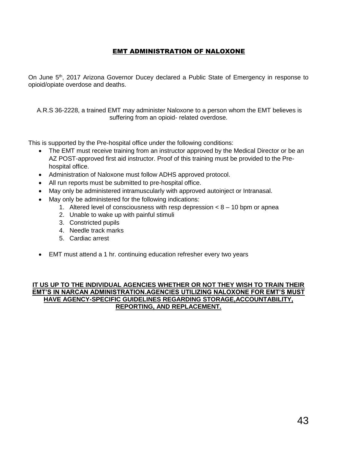# EMT ADMINISTRATION OF NALOXONE

On June 5<sup>th</sup>, 2017 Arizona Governor Ducey declared a Public State of Emergency in response to opioid/opiate overdose and deaths.

A.R.S 36-2228, a trained EMT may administer Naloxone to a person whom the EMT believes is suffering from an opioid- related overdose.

This is supported by the Pre-hospital office under the following conditions:

- The EMT must receive training from an instructor approved by the Medical Director or be an AZ POST-approved first aid instructor. Proof of this training must be provided to the Prehospital office.
- Administration of Naloxone must follow ADHS approved protocol.
- All run reports must be submitted to pre-hospital office.
- May only be administered intramuscularly with approved autoinject or Intranasal.
- May only be administered for the following indications:
	- 1. Altered level of consciousness with resp depression  $< 8 10$  bpm or apnea
	- 2. Unable to wake up with painful stimuli
	- 3. Constricted pupils
	- 4. Needle track marks
	- 5. Cardiac arrest
- EMT must attend a 1 hr. continuing education refresher every two years

## **IT US UP TO THE INDIVIDUAL AGENCIES WHETHER OR NOT THEY WISH TO TRAIN THEIR EMT'S IN NARCAN ADMINISTRATION.AGENCIES UTILIZING NALOXONE FOR EMT'S MUST HAVE AGENCY-SPECIFIC GUIDELINES REGARDING STORAGE,ACCOUNTABILITY, REPORTING, AND REPLACEMENT.**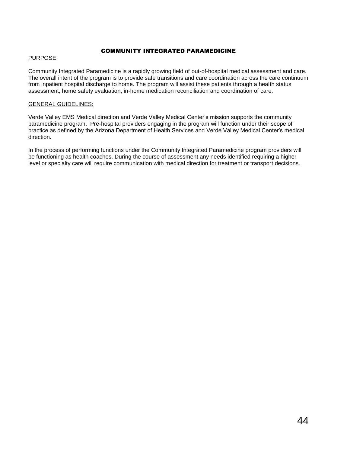## COMMUNITY INTEGRATED PARAMEDICINE

### PURPOSE:

Community Integrated Paramedicine is a rapidly growing field of out-of-hospital medical assessment and care. The overall intent of the program is to provide safe transitions and care coordination across the care continuum from inpatient hospital discharge to home. The program will assist these patients through a health status assessment, home safety evaluation, in-home medication reconciliation and coordination of care.

### GENERAL GUIDELINES:

Verde Valley EMS Medical direction and Verde Valley Medical Center's mission supports the community paramedicine program. Pre-hospital providers engaging in the program will function under their scope of practice as defined by the Arizona Department of Health Services and Verde Valley Medical Center's medical direction.

In the process of performing functions under the Community Integrated Paramedicine program providers will be functioning as health coaches. During the course of assessment any needs identified requiring a higher level or specialty care will require communication with medical direction for treatment or transport decisions.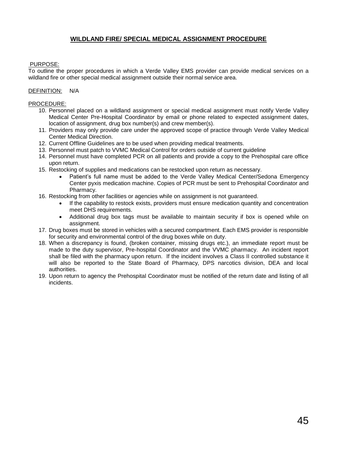# **WILDLAND FIRE/ SPECIAL MEDICAL ASSIGNMENT PROCEDURE**

## PURPOSE:

To outline the proper procedures in which a Verde Valley EMS provider can provide medical services on a wildland fire or other special medical assignment outside their normal service area.

### DEFINITION: N/A

- 10. Personnel placed on a wildland assignment or special medical assignment must notify Verde Valley Medical Center Pre-Hospital Coordinator by email or phone related to expected assignment dates, location of assignment, drug box number(s) and crew member(s).
- 11. Providers may only provide care under the approved scope of practice through Verde Valley Medical Center Medical Direction.
- 12. Current Offline Guidelines are to be used when providing medical treatments.
- 13. Personnel must patch to VVMC Medical Control for orders outside of current guideline
- 14. Personnel must have completed PCR on all patients and provide a copy to the Prehospital care office upon return.
- 15. Restocking of supplies and medications can be restocked upon return as necessary.
	- Patient's full name must be added to the Verde Valley Medical Center/Sedona Emergency Center pyxis medication machine. Copies of PCR must be sent to Prehospital Coordinator and Pharmacy.
- 16. Restocking from other facilities or agencies while on assignment is not guaranteed.
	- If the capability to restock exists, providers must ensure medication quantity and concentration meet DHS requirements.
	- Additional drug box tags must be available to maintain security if box is opened while on assignment.
- 17. Drug boxes must be stored in vehicles with a secured compartment. Each EMS provider is responsible for security and environmental control of the drug boxes while on duty.
- 18. When a discrepancy is found, (broken container, missing drugs etc.), an immediate report must be made to the duty supervisor, Pre-hospital Coordinator and the VVMC pharmacy. An incident report shall be filed with the pharmacy upon return. If the incident involves a Class II controlled substance it will also be reported to the State Board of Pharmacy, DPS narcotics division, DEA and local authorities.
- 19. Upon return to agency the Prehospital Coordinator must be notified of the return date and listing of all incidents.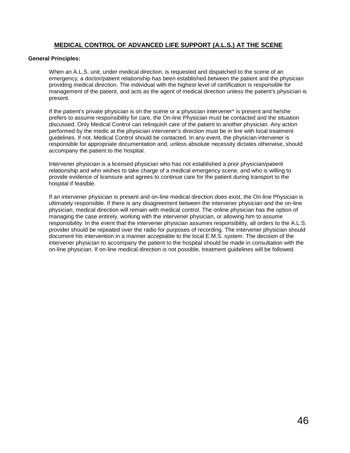## **MEDICAL CONTROL OF ADVANCED LIFE SUPPORT (A.L.S.) AT THE SCENE**

#### **General Principles:**

When an A.L.S. unit, under medical direction, is requested and dispatched to the scene of an emergency, a doctor/patient relationship has been established between the patient and the physician providing medical direction. The individual with the highest level of certification is responsible for management of the patient, and acts as the agent of medical direction unless the patient's physician is present.

If the patient's private physician is on the scene or a physician intervener\* is present and he/she prefers to assume responsibility for care, the On-line Physician must be contacted and the situation discussed. Only Medical Control can relinquish care of the patient to another physician. Any action performed by the medic at the physician intervener's direction must be in line with local treatment guidelines. If not, Medical Control should be contacted. In any event, the physician intervener is responsible for appropriate documentation and, unless absolute necessity dictates otherwise, should accompany the patient to the hospital.

Intervener physician is a licensed physician who has not established a prior physician/patient relationship and who wishes to take charge of a medical emergency scene, and who is willing to provide evidence of licensure and agrees to continue care for the patient during transport to the hospital if feasible.

If an intervener physician is present and on-line medical direction does exist, the On-line Physician is ultimately responsible. If there is any disagreement between the intervener physician and the on-line physician, medical direction will remain with medical control. The online physician has the option of managing the case entirely, working with the intervener physician, or allowing him to assume responsibility. In the event that the intervener physician assumes responsibility, all orders to the A.L.S. provider should be repeated over the radio for purposes of recording. The intervener physician should document his intervention in a manner acceptable to the local E.M.S. system. The decision of the intervener physician to accompany the patient to the hospital should be made in consultation with the on-line physician. If on-line medical direction is not possible, treatment guidelines will be followed.